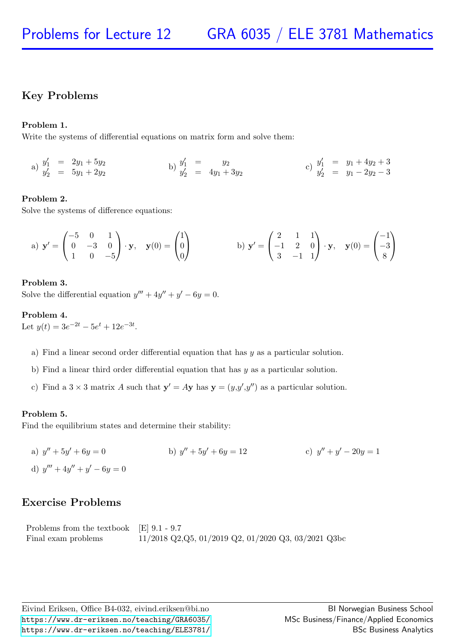## Key Problems

### Problem 1.

Write the systems of differential equations on matrix form and solve them:

a) 
$$
y'_1 = 2y_1 + 5y_2
$$
  
\nb)  $y'_1 = y_2$   
\nc)  $y'_1 = y_1 + 4y_2 + 3$   
\nd)  $y'_2 = 5y_1 + 2y_2$   
\ne)  $y'_2 = 4y_1 + 3y_2$   
\nf)  $y'_1 = y_1 + 4y_2 + 3$   
\ng)  $y'_2 = y_1 - 2y_2 - 3$ 

### Problem 2.

Solve the systems of difference equations:

a) 
$$
\mathbf{y}' = \begin{pmatrix} -5 & 0 & 1 \\ 0 & -3 & 0 \\ 1 & 0 & -5 \end{pmatrix} \cdot \mathbf{y}, \quad \mathbf{y}(0) = \begin{pmatrix} 1 \\ 0 \\ 0 \end{pmatrix}
$$
 b)  $\mathbf{y}' = \begin{pmatrix} 2 & 1 & 1 \\ -1 & 2 & 0 \\ 3 & -1 & 1 \end{pmatrix} \cdot \mathbf{y}, \quad \mathbf{y}(0) = \begin{pmatrix} -1 \\ -3 \\ 8 \end{pmatrix}$ 

### Problem 3.

Solve the differential equation  $y''' + 4y'' + y' - 6y = 0$ .

### Problem 4.

Let  $y(t) = 3e^{-2t} - 5e^{t} + 12e^{-3t}$ .

- a) Find a linear second order differential equation that has y as a particular solution.
- b) Find a linear third order differential equation that has  $y$  as a particular solution.
- c) Find a  $3 \times 3$  matrix A such that  $y' = Ay$  has  $y = (y, y', y'')$  as a particular solution.

### Problem 5.

Find the equilibrium states and determine their stability:

a)  $y'' + 5y' + 6y = 0$  b) y b)  $y'' + 5y' + 6y = 12$ c)  $y'' + y' - 20y = 1$ d)  $y''' + 4y'' + y' - 6y = 0$ 

### Exercise Problems

| Problems from the textbook $\left  \text{E} \right $ 9.1 - 9.7 |                                                        |
|----------------------------------------------------------------|--------------------------------------------------------|
| Final exam problems                                            | $11/2018$ Q2, Q5, 01/2019 Q2, 01/2020 Q3, 03/2021 Q3bc |